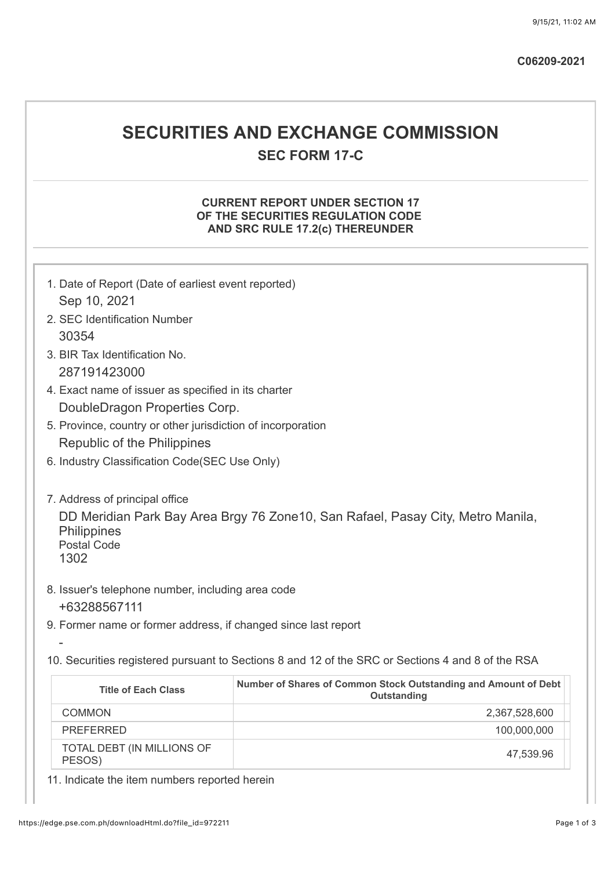# **SECURITIES AND EXCHANGE COMMISSION SEC FORM 17-C**

## **CURRENT REPORT UNDER SECTION 17 OF THE SECURITIES REGULATION CODE AND SRC RULE 17.2(c) THEREUNDER**

| 1. Date of Report (Date of earliest event reported)<br>Sep 10, 2021<br>2. SEC Identification Number<br>30354<br>3. BIR Tax Identification No.<br>287191423000          |                                                                                |  |  |  |  |
|------------------------------------------------------------------------------------------------------------------------------------------------------------------------|--------------------------------------------------------------------------------|--|--|--|--|
| 4. Exact name of issuer as specified in its charter                                                                                                                    |                                                                                |  |  |  |  |
| DoubleDragon Properties Corp.                                                                                                                                          |                                                                                |  |  |  |  |
| 5. Province, country or other jurisdiction of incorporation                                                                                                            |                                                                                |  |  |  |  |
| Republic of the Philippines                                                                                                                                            |                                                                                |  |  |  |  |
| 6. Industry Classification Code(SEC Use Only)                                                                                                                          |                                                                                |  |  |  |  |
| 7. Address of principal office<br>DD Meridian Park Bay Area Brgy 76 Zone 10, San Rafael, Pasay City, Metro Manila,<br><b>Philippines</b><br><b>Postal Code</b><br>1302 |                                                                                |  |  |  |  |
| 8. Issuer's telephone number, including area code<br>+63288567111                                                                                                      |                                                                                |  |  |  |  |
| 9. Former name or former address, if changed since last report                                                                                                         |                                                                                |  |  |  |  |
| 10. Securities registered pursuant to Sections 8 and 12 of the SRC or Sections 4 and 8 of the RSA                                                                      |                                                                                |  |  |  |  |
| <b>Title of Each Class</b>                                                                                                                                             | Number of Shares of Common Stock Outstanding and Amount of Debt<br>Outstanding |  |  |  |  |
| <b>COMMON</b>                                                                                                                                                          | 2,367,528,600                                                                  |  |  |  |  |
| <b>PREFERRED</b>                                                                                                                                                       | 100,000,000                                                                    |  |  |  |  |
| TOTAL DEBT (IN MILLIONS OF<br>PESOS)                                                                                                                                   | 47,539.96                                                                      |  |  |  |  |

11. Indicate the item numbers reported herein